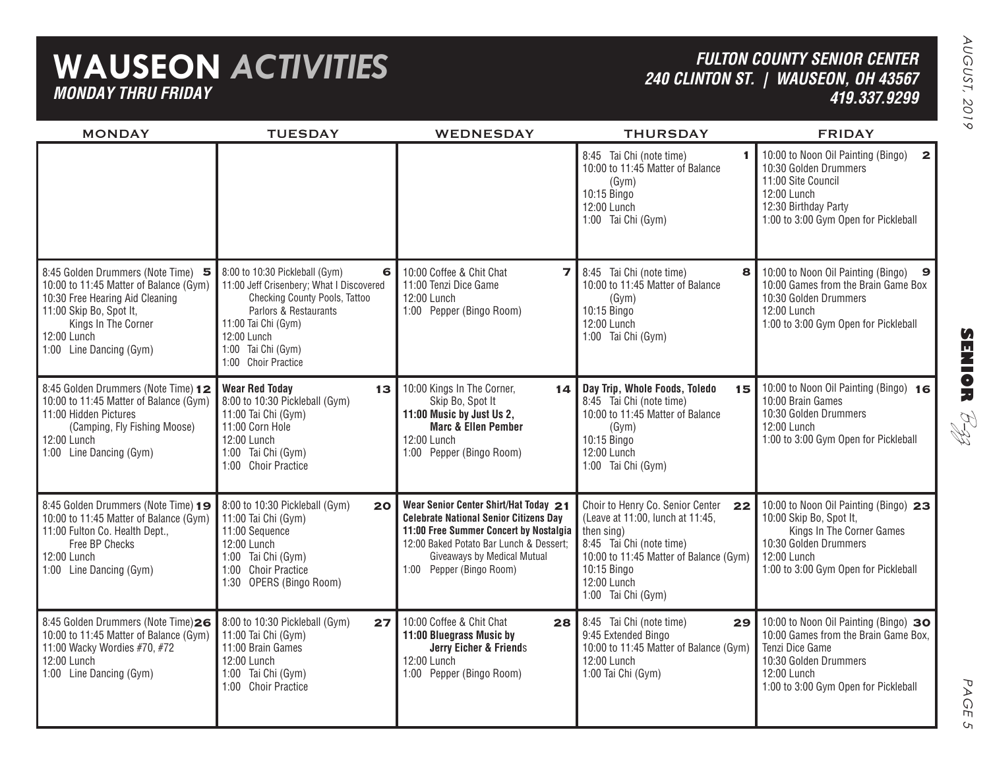# **WAUSEON** *ACTIVITIES MONDAY THRU FRIDAY*

### *FULTON COUNTY SENIOR CENTER 240 CLINTON ST. | WAUSEON, OH 43567 419.337.9299*

| <b>MONDAY</b>                                                                                                                                                                                               | <b>TUESDAY</b>                                                                                                                                                                                                               | <b>WEDNESDAY</b>                                                                                                                                                                                                                       | <b>THURSDAY</b>                                                                                                                                                                                                    | <b>FRIDAY</b>                                                                                                                                                                      |
|-------------------------------------------------------------------------------------------------------------------------------------------------------------------------------------------------------------|------------------------------------------------------------------------------------------------------------------------------------------------------------------------------------------------------------------------------|----------------------------------------------------------------------------------------------------------------------------------------------------------------------------------------------------------------------------------------|--------------------------------------------------------------------------------------------------------------------------------------------------------------------------------------------------------------------|------------------------------------------------------------------------------------------------------------------------------------------------------------------------------------|
|                                                                                                                                                                                                             |                                                                                                                                                                                                                              |                                                                                                                                                                                                                                        | 8:45 Tai Chi (note time)<br>10:00 to 11:45 Matter of Balance<br>(Gym)<br>10:15 Bingo<br>12:00 Lunch<br>1:00 Tai Chi (Gym)                                                                                          | 10:00 to Noon Oil Painting (Bingo)<br>$\overline{2}$<br>10:30 Golden Drummers<br>11:00 Site Council<br>12:00 Lunch<br>12:30 Birthday Party<br>1:00 to 3:00 Gym Open for Pickleball |
| 8:45 Golden Drummers (Note Time) 5<br>10:00 to 11:45 Matter of Balance (Gym)<br>10:30 Free Hearing Aid Cleaning<br>11:00 Skip Bo, Spot It,<br>Kings In The Corner<br>12:00 Lunch<br>1:00 Line Dancing (Gym) | 8:00 to 10:30 Pickleball (Gym)<br>6<br>11:00 Jeff Crisenbery; What I Discovered<br>Checking County Pools, Tattoo<br>Parlors & Restaurants<br>11:00 Tai Chi (Gym)<br>12:00 Lunch<br>1:00 Tai Chi (Gym)<br>1:00 Choir Practice | 10:00 Coffee & Chit Chat<br>$\overline{ }$<br>11:00 Tenzi Dice Game<br>12:00 Lunch<br>1:00 Pepper (Bingo Room)                                                                                                                         | 8:45 Tai Chi (note time)<br>8<br>10:00 to 11:45 Matter of Balance<br>(Gym)<br>10:15 Bingo<br>12:00 Lunch<br>1:00 Tai Chi (Gym)                                                                                     | 10:00 to Noon Oil Painting (Bingo) 9<br>10:00 Games from the Brain Game Box<br>10:30 Golden Drummers<br>12:00 Lunch<br>1:00 to 3:00 Gym Open for Pickleball                        |
| 8:45 Golden Drummers (Note Time) 12<br>10:00 to 11:45 Matter of Balance (Gym)<br>11:00 Hidden Pictures<br>(Camping, Fly Fishing Moose)<br>12:00 Lunch<br>1:00 Line Dancing (Gym)                            | <b>Wear Red Today</b><br>13<br>8:00 to 10:30 Pickleball (Gym)<br>11:00 Tai Chi (Gym)<br>11:00 Corn Hole<br>12:00 Lunch<br>1:00 Tai Chi (Gym)<br>1:00 Choir Practice                                                          | 10:00 Kings In The Corner,<br>14 <sub>1</sub><br>Skip Bo, Spot It<br>11:00 Music by Just Us 2,<br><b>Marc &amp; Ellen Pember</b><br>12:00 Lunch<br>1:00 Pepper (Bingo Room)                                                            | Day Trip, Whole Foods, Toledo<br>15<br>8:45 Tai Chi (note time)<br>10:00 to 11:45 Matter of Balance<br>(Gym)<br>10:15 Bingo<br>12:00 Lunch<br>1:00 Tai Chi (Gym)                                                   | 10:00 to Noon Oil Painting (Bingo) 16<br>10:00 Brain Games<br>10:30 Golden Drummers<br>12:00 Lunch<br>1:00 to 3:00 Gym Open for Pickleball                                         |
| 8:45 Golden Drummers (Note Time) 19<br>10:00 to 11:45 Matter of Balance (Gym)<br>11:00 Fulton Co. Health Dept.,<br>Free BP Checks<br>12:00 Lunch<br>1:00 Line Dancing (Gym)                                 | 8:00 to 10:30 Pickleball (Gym)<br>20<br>11:00 Tai Chi (Gym)<br>11:00 Sequence<br>12:00 Lunch<br>1:00 Tai Chi (Gym)<br>1:00 Choir Practice<br>1:30 OPERS (Bingo Room)                                                         | Wear Senior Center Shirt/Hat Today 21<br><b>Celebrate National Senior Citizens Day</b><br>11:00 Free Summer Concert by Nostalgia<br>12:00 Baked Potato Bar Lunch & Dessert;<br>Giveaways by Medical Mutual<br>1:00 Pepper (Bingo Room) | Choir to Henry Co. Senior Center<br>22<br>(Leave at 11:00, lunch at 11:45,<br>then sing)<br>8:45 Tai Chi (note time)<br>10:00 to 11:45 Matter of Balance (Gym)<br>10:15 Bingo<br>12:00 Lunch<br>1:00 Tai Chi (Gym) | 10:00 to Noon Oil Painting (Bingo) 23<br>10:00 Skip Bo, Spot It,<br>Kings In The Corner Games<br>10:30 Golden Drummers<br>12:00 Lunch<br>1:00 to 3:00 Gym Open for Pickleball      |
| 8:45 Golden Drummers (Note Time)26<br>10:00 to 11:45 Matter of Balance (Gym)<br>11:00 Wacky Wordies #70, #72<br>12:00 Lunch<br>1:00 Line Dancing (Gym)                                                      | 8:00 to 10:30 Pickleball (Gym)<br>27<br>11:00 Tai Chi (Gym)<br>11:00 Brain Games<br>12:00 Lunch<br>1:00 Tai Chi (Gym)<br>1:00 Choir Practice                                                                                 | 10:00 Coffee & Chit Chat<br>28<br>11:00 Bluegrass Music by<br>Jerry Eicher & Friends<br>12:00 Lunch<br>1:00 Pepper (Bingo Room)                                                                                                        | 8:45 Tai Chi (note time)<br>29<br>9:45 Extended Bingo<br>10:00 to 11:45 Matter of Balance (Gym)<br>12:00 Lunch<br>1:00 Tai Chi (Gym)                                                                               | 10:00 to Noon Oil Painting (Bingo) 30<br>10:00 Games from the Brain Game Box,<br>Tenzi Dice Game<br>10:30 Golden Drummers<br>12:00 Lunch<br>1:00 to 3:00 Gym Open for Pickleball   |



 $\mathsf{C}_{\mathsf{L}}$ 

**SENIOR** B-zz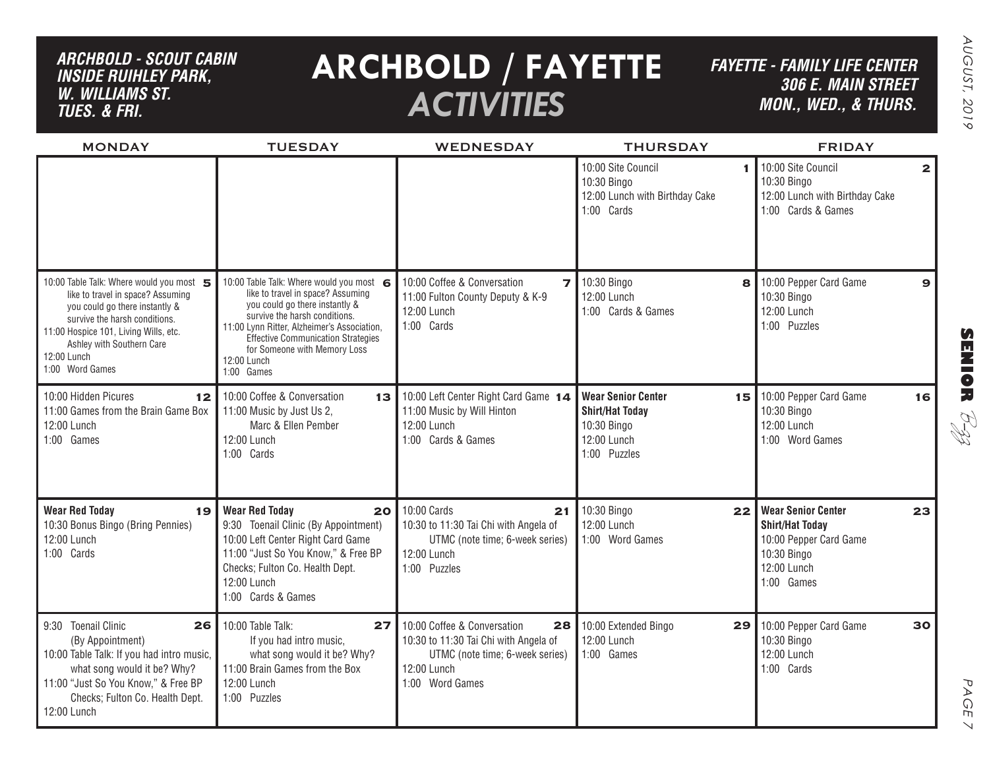## *ARCHBOLD - SCOUT CABINinside ruihley park, w. williams st. tues. & FRI.*

# **ARCHBOLD / FAYETTE** *ACTIVITIES*

*FAYETTE - FAMILY LIFE CENTER306 E. Main Street MON., Wed., & THURS.*

| <b>MONDAY</b>                                                                                                                                                                                                                                          | <b>TUESDAY</b>                                                                                                                                                                                                                                                                                            | WEDNESDAY                                                                                                                                       | <b>THURSDAY</b>                                                                                         | <b>FRIDAY</b>                                                                                                                   |
|--------------------------------------------------------------------------------------------------------------------------------------------------------------------------------------------------------------------------------------------------------|-----------------------------------------------------------------------------------------------------------------------------------------------------------------------------------------------------------------------------------------------------------------------------------------------------------|-------------------------------------------------------------------------------------------------------------------------------------------------|---------------------------------------------------------------------------------------------------------|---------------------------------------------------------------------------------------------------------------------------------|
|                                                                                                                                                                                                                                                        |                                                                                                                                                                                                                                                                                                           |                                                                                                                                                 | 10:00 Site Council<br>10:30 Bingo<br>12:00 Lunch with Birthday Cake<br>1:00 Cards                       | 10:00 Site Council<br>$\mathbf{2}$<br>10:30 Bingo<br>12:00 Lunch with Birthday Cake<br>1:00 Cards & Games                       |
| 10:00 Table Talk: Where would you most<br>like to travel in space? Assuming<br>you could go there instantly &<br>survive the harsh conditions.<br>11:00 Hospice 101, Living Wills, etc.<br>Ashley with Southern Care<br>12:00 Lunch<br>1:00 Word Games | 10:00 Table Talk: Where would you most 6<br>like to travel in space? Assuming<br>you could go there instantly &<br>survive the harsh conditions.<br>11:00 Lynn Ritter, Alzheimer's Association,<br><b>Effective Communication Strategies</b><br>for Someone with Memory Loss<br>12:00 Lunch<br>1:00 Games | 10:00 Coffee & Conversation<br>$\overline{z}$<br>11:00 Fulton County Deputy & K-9<br>12:00 Lunch<br>1:00 Cards                                  | 10:30 Bingo<br>8<br>12:00 Lunch<br>1:00 Cards & Games                                                   | 10:00 Pepper Card Game<br>$\mathbf{9}$<br>10:30 Bingo<br>12:00 Lunch<br>1:00 Puzzles                                            |
| 10:00 Hidden Picures<br>12<br>11:00 Games from the Brain Game Box<br>12:00 Lunch<br>1:00 Games                                                                                                                                                         | 10:00 Coffee & Conversation<br>13<br>11:00 Music by Just Us 2,<br>Marc & Ellen Pember<br>12:00 Lunch<br>1:00 Cards                                                                                                                                                                                        | 10:00 Left Center Right Card Game 14<br>11:00 Music by Will Hinton<br>12:00 Lunch<br>1:00 Cards & Games                                         | <b>Wear Senior Center</b><br>15<br><b>Shirt/Hat Today</b><br>10:30 Bingo<br>12:00 Lunch<br>1:00 Puzzles | 10:00 Pepper Card Game<br>16<br>10:30 Bingo<br>12:00 Lunch<br>1:00 Word Games                                                   |
| <b>Wear Red Today</b><br>19<br>10:30 Bonus Bingo (Bring Pennies)<br>12:00 Lunch<br>1:00 Cards                                                                                                                                                          | <b>Wear Red Today</b><br>20<br>9:30 Toenail Clinic (By Appointment)<br>10:00 Left Center Right Card Game<br>11:00 "Just So You Know," & Free BP<br>Checks; Fulton Co. Health Dept.<br>12:00 Lunch<br>1:00 Cards & Games                                                                                   | 10:00 Cards<br>21<br>10:30 to 11:30 Tai Chi with Angela of<br>UTMC (note time; 6-week series)<br>12:00 Lunch<br>1:00 Puzzles                    | 10:30 Bingo<br>22<br>12:00 Lunch<br>1:00 Word Games                                                     | <b>Wear Senior Center</b><br>23<br><b>Shirt/Hat Today</b><br>10:00 Pepper Card Game<br>10:30 Bingo<br>12:00 Lunch<br>1:00 Games |
| 9:30 Toenail Clinic<br>26<br>(By Appointment)<br>10:00 Table Talk: If you had intro music,<br>what song would it be? Why?<br>11:00 "Just So You Know," & Free BP<br>Checks; Fulton Co. Health Dept.<br>12:00 Lunch                                     | 10:00 Table Talk:<br>27<br>If you had intro music,<br>what song would it be? Why?<br>11:00 Brain Games from the Box<br>12:00 Lunch<br>1:00 Puzzles                                                                                                                                                        | 10:00 Coffee & Conversation<br>28<br>10:30 to 11:30 Tai Chi with Angela of<br>UTMC (note time; 6-week series)<br>12:00 Lunch<br>1:00 Word Games | 10:00 Extended Bingo<br>29<br>12:00 Lunch<br>1:00 Games                                                 | 30<br>10:00 Pepper Card Game<br>10:30 Bingo<br>12:00 Lunch<br>1:00 Cards                                                        |

**SENIOR** B-zz

PAGE PAGE 7  $\vee$